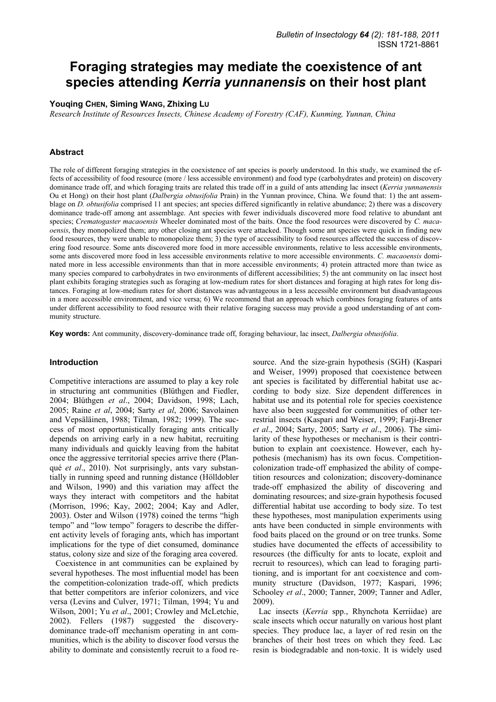# **Foraging strategies may mediate the coexistence of ant species attending** *Kerria yunnanensis* **on their host plant**

# **Youqing CHEN, Siming WANG, Zhixing LU**

*Research Institute of Resources Insects, Chinese Academy of Forestry (CAF), Kunming, Yunnan, China* 

# **Abstract**

The role of different foraging strategies in the coexistence of ant species is poorly understood. In this study, we examined the effects of accessibility of food resource (more / less accessible environment) and food type (carbohydrates and protein) on discovery dominance trade off, and which foraging traits are related this trade off in a guild of ants attending lac insect (*Kerria yunnanensis* Ou et Hong) on their host plant (*Dalbergia obtusifolia* Prain) in the Yunnan province, China. We found that: 1) the ant assemblage on *D. obtusifolia* comprised 11 ant species; ant species differed significantly in relative abundance; 2) there was a discovery dominance trade-off among ant assemblage. Ant species with fewer individuals discovered more food relative to abundant ant species; *Crematogaster macaoensis* Wheeler dominated most of the baits. Once the food resources were discovered by *C. macaoensis*, they monopolized them; any other closing ant species were attacked. Though some ant species were quick in finding new food resources, they were unable to monopolize them; 3) the type of accessibility to food resources affected the success of discovering food resource. Some ants discovered more food in more accessible environments, relative to less accessible environments, some ants discovered more food in less accessible environments relative to more accessible environments. *C. macaoensis* dominated more in less accessible environments than that in more accessible environments; 4) protein attracted more than twice as many species compared to carbohydrates in two environments of different accessibilities; 5) the ant community on lac insect host plant exhibits foraging strategies such as foraging at low-medium rates for short distances and foraging at high rates for long distances. Foraging at low-medium rates for short distances was advantageous in a less accessible environment but disadvantageous in a more accessible environment, and vice versa; 6) We recommend that an approach which combines foraging features of ants under different accessibility to food resource with their relative foraging success may provide a good understanding of ant community structure.

**Key words:** Ant community, discovery-dominance trade off, foraging behaviour, lac insect, *Dalbergia obtusifolia*.

# **Introduction**

Competitive interactions are assumed to play a key role in structuring ant communities (Blüthgen and Fiedler, 2004; Blüthgen *et al*., 2004; Davidson, 1998; Lach, 2005; Raine *et al*, 2004; Sarty *et al*, 2006; Savolainen and Vepsäläinen, 1988; Tilman, 1982; 1999). The success of most opportunistically foraging ants critically depends on arriving early in a new habitat, recruiting many individuals and quickly leaving from the habitat once the aggressive territorial species arrive there (Planqué *et al*., 2010). Not surprisingly, ants vary substantially in running speed and running distance (Hölldobler and Wilson, 1990) and this variation may affect the ways they interact with competitors and the habitat (Morrison, 1996; Kay, 2002; 2004; Kay and Adler, 2003). Oster and Wilson (1978) coined the terms "high tempo" and "low tempo" foragers to describe the different activity levels of foraging ants, which has important implications for the type of diet consumed, dominance status, colony size and size of the foraging area covered.

Coexistence in ant communities can be explained by several hypotheses. The most influential model has been the competition-colonization trade-off, which predicts that better competitors are inferior colonizers, and vice versa (Levins and Culver, 1971; Tilman, 1994; Yu and Wilson, 2001; Yu *et al*., 2001; Crowley and McLetchie, 2002). Fellers (1987) suggested the discoverydominance trade-off mechanism operating in ant communities, which is the ability to discover food versus the ability to dominate and consistently recruit to a food re-

source. And the size-grain hypothesis (SGH) (Kaspari and Weiser, 1999) proposed that coexistence between ant species is facilitated by differential habitat use according to body size. Size dependent differences in habitat use and its potential role for species coexistence have also been suggested for communities of other terrestrial insects (Kaspari and Weiser, 1999; Farji-Brener *et al*., 2004; Sarty, 2005; Sarty *et al*., 2006). The similarity of these hypotheses or mechanism is their contribution to explain ant coexistence. However, each hypothesis (mechanism) has its own focus. Competitioncolonization trade-off emphasized the ability of competition resources and colonization; discovery-dominance trade-off emphasized the ability of discovering and dominating resources; and size-grain hypothesis focused differential habitat use according to body size. To test these hypotheses, most manipulation experiments using ants have been conducted in simple environments with food baits placed on the ground or on tree trunks. Some studies have documented the effects of accessibility to resources (the difficulty for ants to locate, exploit and recruit to resources), which can lead to foraging partitioning, and is important for ant coexistence and community structure (Davidson, 1977; Kaspari, 1996; Schooley *et al*., 2000; Tanner, 2009; Tanner and Adler, 2009).

Lac insects (*Kerria* spp., Rhynchota Kerriidae) are scale insects which occur naturally on various host plant species. They produce lac, a layer of red resin on the branches of their host trees on which they feed. Lac resin is biodegradable and non-toxic. It is widely used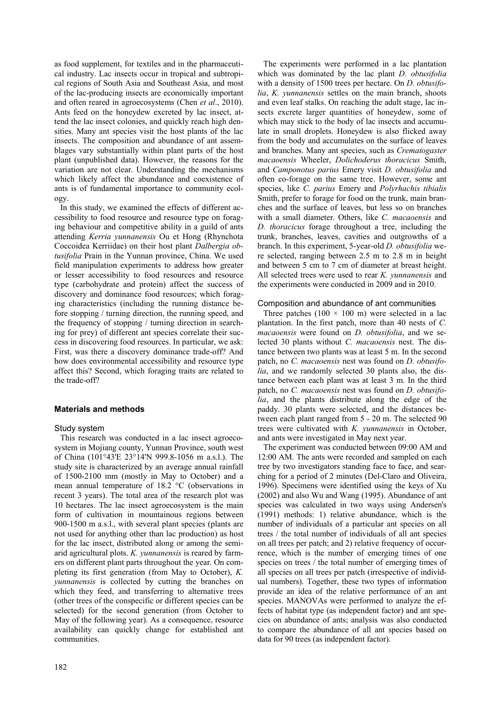as food supplement, for textiles and in the pharmaceutical industry. Lac insects occur in tropical and subtropical regions of South Asia and Southeast Asia, and most of the lac-producing insects are economically important and often reared in agroecosystems (Chen *et al*., 2010). Ants feed on the honeydew excreted by lac insect, attend the lac insect colonies, and quickly reach high densities. Many ant species visit the host plants of the lac insects. The composition and abundance of ant assemblages vary substantially within plant parts of the host plant (unpublished data). However, the reasons for the variation are not clear. Understanding the mechanisms which likely affect the abundance and coexistence of ants is of fundamental importance to community ecology.

In this study, we examined the effects of different accessibility to food resource and resource type on foraging behaviour and competitive ability in a guild of ants attending *Kerria yunnanensis* Ou et Hong (Rhynchota Coccoidea Kerriidae) on their host plant *Dalbergia obtusifolia* Prain in the Yunnan province, China. We used field manipulation experiments to address how greater or lesser accessibility to food resources and resource type (carbohydrate and protein) affect the success of discovery and dominance food resources; which foraging characteristics (including the running distance before stopping / turning direction, the running speed, and the frequency of stopping / turning direction in searching for prey) of different ant species correlate their success in discovering food resources. In particular, we ask: First, was there a discovery dominance trade-off? And how does environmental accessibility and resource type affect this? Second, which foraging traits are related to the trade-off?

# **Materials and methods**

# Study system

This research was conducted in a lac insect agroecosystem in Mojiang county, Yunnan Province, south west of China (101°43'E 23°14'N 999.8-1056 m a.s.l.). The study site is characterized by an average annual rainfall of 1500-2100 mm (mostly in May to October) and a mean annual temperature of 18.2 °C (observations in recent 3 years). The total area of the research plot was 10 hectares. The lac insect agroecosystem is the main form of cultivation in mountainous regions between 900-1500 m a.s.l., with several plant species (plants are not used for anything other than lac production) as host for the lac insect, distributed along or among the semiarid agricultural plots. *K. yunnanensis* is reared by farmers on different plant parts throughout the year. On completing its first generation (from May to October), *K. yunnanensis* is collected by cutting the branches on which they feed, and transferring to alternative trees (other trees of the conspecific or different species can be selected) for the second generation (from October to May of the following year). As a consequence, resource availability can quickly change for established ant communities.

The experiments were performed in a lac plantation which was dominated by the lac plant *D. obtusifolia*  with a density of 1500 trees per hectare. On *D. obtusifolia*, *K. yunnanensis* settles on the main branch, shoots and even leaf stalks. On reaching the adult stage, lac insects excrete larger quantities of honeydew, some of which may stick to the body of lac insects and accumulate in small droplets. Honeydew is also flicked away from the body and accumulates on the surface of leaves and branches. Many ant species, such as *Crematogaster macaoensis* Wheeler, *Dolichoderus thoracicus* Smith, and *Camponotus parius* Emery visit *D. obtusifolia* and often co-forage on the same tree. However, some ant species, like *C. parius* Emery and *Polyrhachis tibialis* Smith, prefer to forage for food on the trunk, main branches and the surface of leaves, but less so on branches with a small diameter. Others, like *C. macaoensis* and *D. thoracicus* forage throughout a tree, including the trunk, branches, leaves, cavities and outgrowths of a branch. In this experiment, 5-year-old *D. obtusifolia* were selected, ranging between 2.5 m to 2.8 m in height and between 5 cm to 7 cm of diameter at breast height. All selected trees were used to rear *K. yunnanensis* and the experiments were conducted in 2009 and in 2010.

## Composition and abundance of ant communities

Three patches (100  $\times$  100 m) were selected in a lac plantation. In the first patch, more than 40 nests of *C. macaoensis* were found on *D. obtusifolia*, and we selected 30 plants without *C. macaoensis* nest. The distance between two plants was at least 5 m. In the second patch, no *C. macaoensis* nest was found on *D. obtusifolia*, and we randomly selected 30 plants also, the distance between each plant was at least 3 m. In the third patch, no *C. macaoensis* nest was found on *D. obtusifolia*, and the plants distribute along the edge of the paddy. 30 plants were selected, and the distances between each plant ranged from 5 - 20 m. The selected 90 trees were cultivated with *K. yunnanensis* in October, and ants were investigated in May next year.

The experiment was conducted between 09:00 AM and 12:00 AM. The ants were recorded and sampled on each tree by two investigators standing face to face, and searching for a period of 2 minutes (Del-Claro and Oliveira, 1996). Specimens were identified using the keys of Xu (2002) and also Wu and Wang (1995). Abundance of ant species was calculated in two ways using Andersen's (1991) methods: 1) relative abundance, which is the number of individuals of a particular ant species on all trees / the total number of individuals of all ant species on all trees per patch; and 2) relative frequency of occurrence, which is the number of emerging times of one species on trees / the total number of emerging times of all species on all trees per patch (irrespective of individual numbers). Together, these two types of information provide an idea of the relative performance of an ant species. MANOVAs were performed to analyze the effects of habitat type (as independent factor) and ant species on abundance of ants; analysis was also conducted to compare the abundance of all ant species based on data for 90 trees (as independent factor).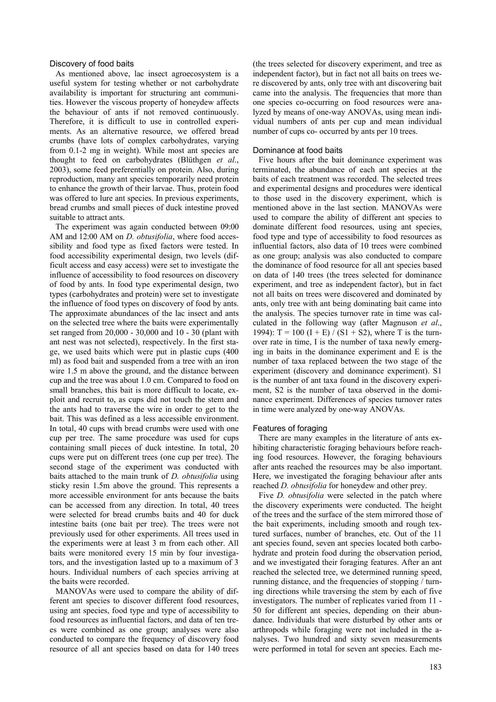#### Discovery of food baits

As mentioned above, lac insect agroecosystem is a useful system for testing whether or not carbohydrate availability is important for structuring ant communities. However the viscous property of honeydew affects the behaviour of ants if not removed continuously. Therefore, it is difficult to use in controlled experiments. As an alternative resource, we offered bread crumbs (have lots of complex carbohydrates, varying from 0.1-2 mg in weight). While most ant species are thought to feed on carbohydrates (Blüthgen *et al*., 2003), some feed preferentially on protein. Also, during reproduction, many ant species temporarily need protein to enhance the growth of their larvae. Thus, protein food was offered to lure ant species. In previous experiments, bread crumbs and small pieces of duck intestine proved suitable to attract ants.

The experiment was again conducted between 09:00 AM and 12:00 AM on *D. obtusifolia*, where food accessibility and food type as fixed factors were tested. In food accessibility experimental design, two levels (difficult access and easy access) were set to investigate the influence of accessibility to food resources on discovery of food by ants. In food type experimental design, two types (carbohydrates and protein) were set to investigate the influence of food types on discovery of food by ants. The approximate abundances of the lac insect and ants on the selected tree where the baits were experimentally set ranged from 20,000 - 30,000 and 10 - 30 (plant with ant nest was not selected), respectively. In the first stage, we used baits which were put in plastic cups (400 ml) as food bait and suspended from a tree with an iron wire 1.5 m above the ground, and the distance between cup and the tree was about 1.0 cm. Compared to food on small branches, this bait is more difficult to locate, exploit and recruit to, as cups did not touch the stem and the ants had to traverse the wire in order to get to the bait. This was defined as a less accessible environment. In total, 40 cups with bread crumbs were used with one cup per tree. The same procedure was used for cups containing small pieces of duck intestine. In total, 20 cups were put on different trees (one cup per tree). The second stage of the experiment was conducted with baits attached to the main trunk of *D. obtusifolia* using sticky resin 1.5m above the ground. This represents a more accessible environment for ants because the baits can be accessed from any direction. In total, 40 trees were selected for bread crumbs baits and 40 for duck intestine baits (one bait per tree). The trees were not previously used for other experiments. All trees used in the experiments were at least 3 m from each other. All baits were monitored every 15 min by four investigators, and the investigation lasted up to a maximum of 3 hours. Individual numbers of each species arriving at the baits were recorded.

MANOVAs were used to compare the ability of different ant species to discover different food resources, using ant species, food type and type of accessibility to food resources as influential factors, and data of ten trees were combined as one group; analyses were also conducted to compare the frequency of discovery food resource of all ant species based on data for 140 trees

(the trees selected for discovery experiment, and tree as independent factor), but in fact not all baits on trees were discovered by ants, only tree with ant discovering bait came into the analysis. The frequencies that more than one species co-occurring on food resources were analyzed by means of one-way ANOVAs, using mean individual numbers of ants per cup and mean individual number of cups co- occurred by ants per 10 trees.

# Dominance at food baits

Five hours after the bait dominance experiment was terminated, the abundance of each ant species at the baits of each treatment was recorded. The selected trees and experimental designs and procedures were identical to those used in the discovery experiment, which is mentioned above in the last section. MANOVAs were used to compare the ability of different ant species to dominate different food resources, using ant species, food type and type of accessibility to food resources as influential factors, also data of 10 trees were combined as one group; analysis was also conducted to compare the dominance of food resource for all ant species based on data of 140 trees (the trees selected for dominance experiment, and tree as independent factor), but in fact not all baits on trees were discovered and dominated by ants, only tree with ant being dominating bait came into the analysis. The species turnover rate in time was calculated in the following way (after Magnuson *et al*., 1994): T = 100 (I + E) / (S1 + S2), where T is the turnover rate in time, I is the number of taxa newly emerging in baits in the dominance experiment and E is the number of taxa replaced between the two stage of the experiment (discovery and dominance experiment). S1 is the number of ant taxa found in the discovery experiment, S2 is the number of taxa observed in the dominance experiment. Differences of species turnover rates in time were analyzed by one-way ANOVAs.

#### Features of foraging

There are many examples in the literature of ants exhibiting characteristic foraging behaviours before reaching food resources. However, the foraging behaviours after ants reached the resources may be also important. Here, we investigated the foraging behaviour after ants reached *D. obtusifolia* for honeydew and other prey.

Five *D. obtusifolia* were selected in the patch where the discovery experiments were conducted. The height of the trees and the surface of the stem mirrored those of the bait experiments, including smooth and rough textured surfaces, number of branches, etc. Out of the 11 ant species found, seven ant species located both carbohydrate and protein food during the observation period, and we investigated their foraging features. After an ant reached the selected tree, we determined running speed, running distance, and the frequencies of stopping / turning directions while traversing the stem by each of five investigators. The number of replicates varied from 11 - 50 for different ant species, depending on their abundance. Individuals that were disturbed by other ants or arthropods while foraging were not included in the analyses. Two hundred and sixty seven measurements were performed in total for seven ant species. Each me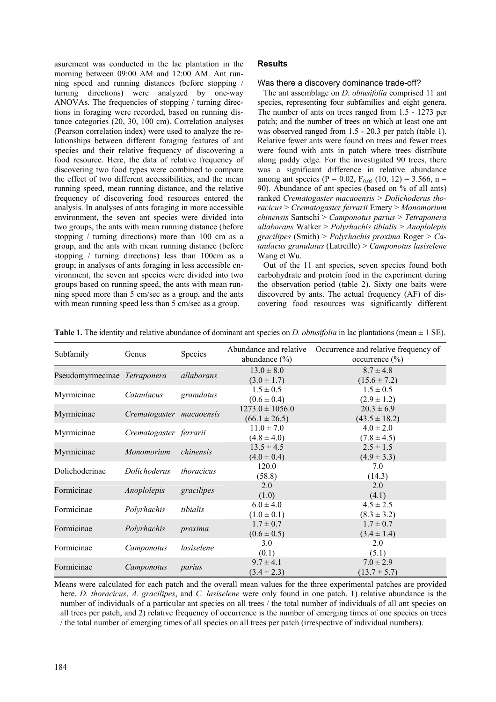asurement was conducted in the lac plantation in the morning between 09:00 AM and 12:00 AM. Ant running speed and running distances (before stopping / turning directions) were analyzed by one-way ANOVAs. The frequencies of stopping / turning directions in foraging were recorded, based on running distance categories (20, 30, 100 cm). Correlation analyses (Pearson correlation index) were used to analyze the relationships between different foraging features of ant species and their relative frequency of discovering a food resource. Here, the data of relative frequency of discovering two food types were combined to compare the effect of two different accessibilities, and the mean running speed, mean running distance, and the relative frequency of discovering food resources entered the analysis. In analyses of ants foraging in more accessible environment, the seven ant species were divided into two groups, the ants with mean running distance (before stopping / turning directions) more than 100 cm as a group, and the ants with mean running distance (before stopping / turning directions) less than 100cm as a group; in analyses of ants foraging in less accessible environment, the seven ant species were divided into two groups based on running speed, the ants with mean running speed more than 5 cm/sec as a group, and the ants with mean running speed less than 5 cm/sec as a group.

# **Results**

# Was there a discovery dominance trade-off?

The ant assemblage on *D. obtusifolia* comprised 11 ant species, representing four subfamilies and eight genera. The number of ants on trees ranged from 1.5 - 1273 per patch; and the number of trees on which at least one ant was observed ranged from 1.5 - 20.3 per patch (table 1). Relative fewer ants were found on trees and fewer trees were found with ants in patch where trees distribute along paddy edge. For the investigated 90 trees, there was a significant difference in relative abundance among ant species (P = 0.02,  $F_{0.05}$  (10, 12) = 3.566, n = 90). Abundance of ant species (based on % of all ants) ranked *Crematogaster macaoensis* > *Dolichoderus thoracicus* > *Crematogaster ferrarii* Emery > *Monomorium chinensis* Santschi > *Camponotus parius* > *Tetraponera allaborans* Walker > *Polyrhachis tibialis* > *Anoplolepis gracilipes* (Smith) > *Polyrhachis proxima* Roger > *Cataulacus granulatus* (Latreille) > *Camponotus lasiselene*  Wang et Wu.

Out of the 11 ant species, seven species found both carbohydrate and protein food in the experiment during the observation period (table 2). Sixty one baits were discovered by ants. The actual frequency (AF) of discovering food resources was significantly different

| Subfamily                    | Genus                    | Species           | Abundance and relative<br>abundance $(\% )$ | Occurrence and relative frequency of<br>occurrence $(\% )$ |
|------------------------------|--------------------------|-------------------|---------------------------------------------|------------------------------------------------------------|
| Pseudomyrmecinae Tetraponera |                          | allaborans        | $13.0 \pm 8.0$<br>$(3.0 \pm 1.7)$           | $8.7 \pm 4.8$<br>$(15.6 \pm 7.2)$                          |
| Myrmicinae                   | Cataulacus               | granulatus        | $1.5 \pm 0.5$<br>$(0.6 \pm 0.4)$            | $1.5 \pm 0.5$<br>$(2.9 \pm 1.2)$                           |
| Myrmicinae                   | Crematogaster macaoensis |                   | $1273.0 \pm 1056.0$<br>$(66.1 \pm 26.5)$    | $20.3 \pm 6.9$<br>$(43.5 \pm 18.2)$                        |
| Myrmicinae                   | Crematogaster ferrarii   |                   | $11.0 \pm 7.0$<br>$(4.8 \pm 4.0)$           | $4.0 \pm 2.0$<br>$(7.8 \pm 4.5)$                           |
| Myrmicinae                   | Monomorium               | chinensis         | $13.5 \pm 4.5$<br>$(4.0 \pm 0.4)$           | $2.5 \pm 1.5$<br>$(4.9 \pm 3.3)$                           |
| Dolichoderinae               | Dolichoderus             | <i>thoracicus</i> | 120.0<br>(58.8)                             | 7.0<br>(14.3)                                              |
| Formicinae                   | Anoplolepis              | gracilipes        | 2.0<br>(1.0)                                | 2.0<br>(4.1)                                               |
| Formicinae                   | Polyrhachis              | tibialis          | $6.0 \pm 4.0$<br>$(1.0 \pm 0.1)$            | $4.5 \pm 2.5$<br>$(8.3 \pm 3.2)$                           |
| Formicinae                   | Polyrhachis              | proxima           | $1.7 \pm 0.7$<br>$(0.6 \pm 0.5)$            | $1.7 \pm 0.7$<br>$(3.4 \pm 1.4)$                           |
| Formicinae                   | Camponotus               | lasiselene        | 3.0<br>(0.1)                                | 2.0<br>(5.1)                                               |
| Formicinae                   | Camponotus               | parius            | $9.7 \pm 4.1$<br>$(3.4 \pm 2.3)$            | $7.0 \pm 2.9$<br>$(13.7 \pm 5.7)$                          |

**Table 1.** The identity and relative abundance of dominant ant species on *D. obtusifolia* in lac plantations (mean ± 1 SE).

Means were calculated for each patch and the overall mean values for the three experimental patches are provided here. *D. thoracicus*, *A. gracilipes*, and *C. lasiselene* were only found in one patch. 1) relative abundance is the number of individuals of a particular ant species on all trees / the total number of individuals of all ant species on all trees per patch, and 2) relative frequency of occurrence is the number of emerging times of one species on trees / the total number of emerging times of all species on all trees per patch (irrespective of individual numbers).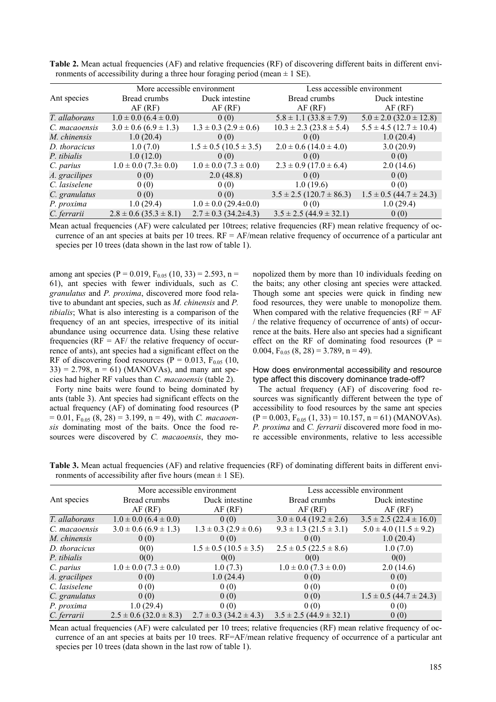|               |                                | More accessible environment    | Less accessible environment      |                                 |  |
|---------------|--------------------------------|--------------------------------|----------------------------------|---------------------------------|--|
| Ant species   | Bread crumbs                   | Duck intestine                 | Bread crumbs                     | Duck intestine                  |  |
|               | AF(RF)                         | AF(RF)                         | AF(RF)                           | AF(RF)                          |  |
| T. allaborans | $1.0 \pm 0.0$ $(6.4 \pm 0.0)$  | 0(0)                           | $5.8 \pm 1.1 (33.8 \pm 7.9)$     | $5.0 \pm 2.0$ (32.0 $\pm$ 12.8) |  |
| C. macaoensis | $3.0 \pm 0.6$ (6.9 $\pm$ 1.3)  | $1.3 \pm 0.3$ (2.9 $\pm$ 0.6)  | $10.3 \pm 2.3 (23.8 \pm 5.4)$    | $5.5 \pm 4.5$ (12.7 $\pm$ 10.4) |  |
| M. chinensis  | 1.0(20.4)                      | 0(0)                           | 0(0)                             | 1.0(20.4)                       |  |
| D. thoracicus | 1.0(7.0)                       | $1.5 \pm 0.5$ (10.5 $\pm$ 3.5) | $2.0 \pm 0.6$ (14.0 $\pm$ 4.0)   | 3.0(20.9)                       |  |
| P. tibialis   | 1.0(12.0)                      | 0(0)                           | 0(0)                             | 0(0)                            |  |
| C. parius     | $1.0 \pm 0.0$ (7.3 $\pm$ 0.0)  | $1.0 \pm 0.0$ (7.3 $\pm$ 0.0)  | $2.3 \pm 0.9$ (17.0 $\pm$ 6.4)   | 2.0(14.6)                       |  |
| A. gracilipes | 0(0)                           | 2.0(48.8)                      | 0(0)                             | 0(0)                            |  |
| C. lasiselene | 0(0)                           | 0(0)                           | 1.0(19.6)                        | 0(0)                            |  |
| C. granulatus | 0(0)                           | 0(0)                           | $3.5 \pm 2.5$ (120.7 $\pm$ 86.3) | $1.5 \pm 0.5$ (44.7 $\pm$ 24.3) |  |
| P. proxima    | 1.0(29.4)                      | $1.0 \pm 0.0$ (29.4 $\pm$ 0.0) | 0(0)                             | 1.0(29.4)                       |  |
| C. ferrarii   | $2.8 \pm 0.6$ (35.3 $\pm$ 8.1) | $2.7 \pm 0.3$ (34.2±4.3)       | $3.5 \pm 2.5 (44.9 \pm 32.1)$    | 0(0)                            |  |

**Table 2.** Mean actual frequencies (AF) and relative frequencies (RF) of discovering different baits in different environments of accessibility during a three hour foraging period (mean  $\pm$  1 SE).

Mean actual frequencies (AF) were calculated per 10trees; relative frequencies (RF) mean relative frequency of occurrence of an ant species at baits per 10 trees.  $RF = AF/mean$  relative frequency of occurrence of a particular ant species per 10 trees (data shown in the last row of table 1).

among ant species (P = 0.019,  $F_{0.05}$  (10, 33) = 2.593, n = 61), ant species with fewer individuals, such as *C. granulatus* and *P. proxima*, discovered more food relative to abundant ant species, such as *M. chinensis* and *P. tibialis*; What is also interesting is a comparison of the frequency of an ant species, irrespective of its initial abundance using occurrence data. Using these relative frequencies ( $RF = AF$  the relative frequency of occurrence of ants), ant species had a significant effect on the RF of discovering food resources (P =  $0.013$ , F<sub>0.05</sub> (10,  $33$ ) = 2.798, n = 61) (MANOVAs), and many ant species had higher RF values than *C. macaoensis* (table 2).

Forty nine baits were found to being dominated by ants (table 3). Ant species had significant effects on the actual frequency (AF) of dominating food resources (P  $= 0.01, F_{0.05}$  (8, 28)  $= 3.199, n = 49$ ), with *C. macaoensis* dominating most of the baits. Once the food resources were discovered by *C. macaoensis*, they mo-

nopolized them by more than 10 individuals feeding on the baits; any other closing ant species were attacked. Though some ant species were quick in finding new food resources, they were unable to monopolize them. When compared with the relative frequencies ( $RF = AF$ ) / the relative frequency of occurrence of ants) of occurrence at the baits. Here also ant species had a significant effect on the RF of dominating food resources  $(P =$ 0.004,  $F<sub>0.05</sub>$  (8, 28) = 3.789, n = 49).

# How does environmental accessibility and resource type affect this discovery dominance trade-off?

The actual frequency (AF) of discovering food resources was significantly different between the type of accessibility to food resources by the same ant species  $(P = 0.003, F<sub>0.05</sub> (1, 33) = 10.157, n = 61)$  (MANOVAs). *P. proxima* and *C. ferrarii* discovered more food in more accessible environments, relative to less accessible

**Table 3.** Mean actual frequencies (AF) and relative frequencies (RF) of dominating different baits in different environments of accessibility after five hours (mean  $\pm$  1 SE).

|               |                                | More accessible environment    | Less accessible environment    |                                 |  |
|---------------|--------------------------------|--------------------------------|--------------------------------|---------------------------------|--|
| Ant species   | Bread crumbs                   | Duck intestine                 | Bread crumbs                   | Duck intestine                  |  |
|               | AF(RF)                         | AF(RF)                         | AF(RF)                         | AF(RF)                          |  |
| T. allaborans | $1.0 \pm 0.0$ $(6.4 \pm 0.0)$  | 0(0)                           | $3.0 \pm 0.4$ (19.2 $\pm$ 2.6) | $3.5 \pm 2.5 (22.4 \pm 16.0)$   |  |
| C. macaoensis | $3.0 \pm 0.6$ (6.9 $\pm$ 1.3)  | $1.3 \pm 0.3$ (2.9 $\pm$ 0.6)  | $9.3 \pm 1.3$ (21.5 $\pm$ 3.1) | $5.0 \pm 4.0$ (11.5 $\pm$ 9.2)  |  |
| M. chinensis  | 0(0)                           | 0(0)                           | 0(0)                           | 1.0(20.4)                       |  |
| D. thoracicus | 0(0)                           | $1.5 \pm 0.5$ (10.5 $\pm$ 3.5) | $2.5 \pm 0.5$ (22.5 $\pm$ 8.6) | 1.0(7.0)                        |  |
| P. tibialis   | 0(0)                           | 0(0)                           | 0(0)                           | 0(0)                            |  |
| C. parius     | $1.0 \pm 0.0$ (7.3 $\pm$ 0.0)  | 1.0(7.3)                       | $1.0 \pm 0.0$ (7.3 $\pm$ 0.0)  | 2.0(14.6)                       |  |
| A. gracilipes | 0(0)                           | 1.0(24.4)                      | 0(0)                           | 0(0)                            |  |
| C. lasiselene | 0(0)                           | 0(0)                           | 0(0)                           | 0(0)                            |  |
| C. granulatus | 0(0)                           | 0(0)                           | 0(0)                           | $1.5 \pm 0.5$ (44.7 $\pm$ 24.3) |  |
| P. proxima    | 1.0(29.4)                      | 0(0)                           | 0(0)                           | 0(0)                            |  |
| C. ferrarii   | $2.5 \pm 0.6$ (32.0 $\pm$ 8.3) | $2.7 \pm 0.3$ (34.2 $\pm$ 4.3) | $3.5 \pm 2.5 (44.9 \pm 32.1)$  | 0(0)                            |  |

Mean actual frequencies (AF) were calculated per 10 trees; relative frequencies (RF) mean relative frequency of occurrence of an ant species at baits per 10 trees. RF=AF/mean relative frequency of occurrence of a particular ant species per 10 trees (data shown in the last row of table 1).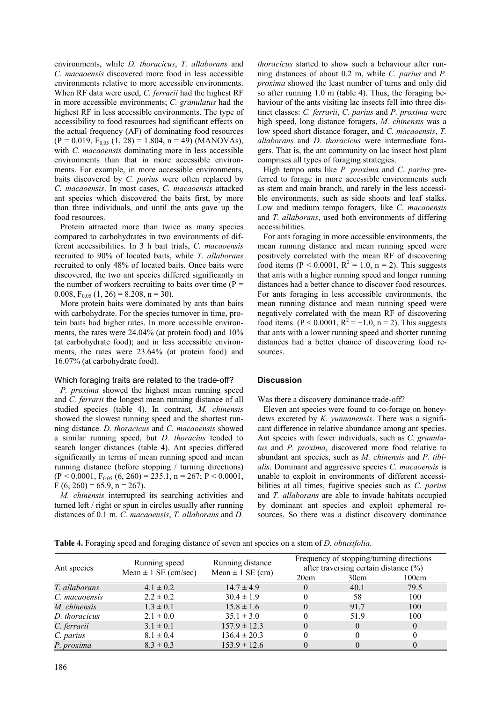environments, while *D. thoracicus*, *T. allaborans* and *C. macaoensis* discovered more food in less accessible environments relative to more accessible environments. When RF data were used, *C. ferrarii* had the highest RF in more accessible environments; *C. granulatus* had the highest RF in less accessible environments. The type of accessibility to food resources had significant effects on the actual frequency (AF) of dominating food resources  $(P = 0.019, F<sub>0.05</sub> (1, 28) = 1.804, n = 49)$  (MANOVAs), with *C. macaoensis* dominating more in less accessible environments than that in more accessible environments. For example, in more accessible environments, baits discovered by *C. parius* were often replaced by *C. macaoensis*. In most cases, *C. macaoensis* attacked ant species which discovered the baits first, by more than three individuals, and until the ants gave up the food resources.

Protein attracted more than twice as many species compared to carbohydrates in two environments of different accessibilities. In 3 h bait trials, *C. macaoensis* recruited to 90% of located baits, while *T. allaborans* recruited to only 48% of located baits. Once baits were discovered, the two ant species differed significantly in the number of workers recruiting to baits over time  $(P =$ 0.008,  $F_{0.05}$  (1, 26) = 8.208, n = 30).

More protein baits were dominated by ants than baits with carbohydrate. For the species turnover in time, protein baits had higher rates. In more accessible environments, the rates were 24.04% (at protein food) and 10% (at carbohydrate food); and in less accessible environments, the rates were 23.64% (at protein food) and 16.07% (at carbohydrate food).

# Which foraging traits are related to the trade-off?

*P. proxima* showed the highest mean running speed and *C. ferrarii* the longest mean running distance of all studied species (table 4). In contrast, *M. chinensis* showed the slowest running speed and the shortest running distance. *D. thoracicus* and *C. macaoensis* showed a similar running speed, but *D. thoracius* tended to search longer distances (table 4). Ant species differed significantly in terms of mean running speed and mean running distance (before stopping / turning directions)  $(P < 0.0001, F<sub>0.05</sub> (6, 260) = 235.1, n = 267; P < 0.0001,$  $F (6, 260) = 65.9, n = 267.$ 

*M. chinensis* interrupted its searching activities and turned left / right or spun in circles usually after running distances of 0.1 m. *C. macaoensis*, *T. allaborans* and *D.* 

*thoracicus* started to show such a behaviour after running distances of about 0.2 m, while *C. parius* and *P. proxima* showed the least number of turns and only did so after running 1.0 m (table 4). Thus, the foraging behaviour of the ants visiting lac insects fell into three distinct classes: *C. ferrarii*, *C. parius* and *P. proxima* were high speed, long distance foragers, *M. chinensis* was a low speed short distance forager, and *C. macaoensis*, *T. allaborans* and *D. thoracicus* were intermediate foragers. That is, the ant community on lac insect host plant comprises all types of foraging strategies.

High tempo ants like *P. proxima* and *C. parius* preferred to forage in more accessible environments such as stem and main branch, and rarely in the less accessible environments, such as side shoots and leaf stalks. Low and medium tempo foragers, like *C. macaoensis*  and *T. allaborans*, used both environments of differing accessibilities.

For ants foraging in more accessible environments, the mean running distance and mean running speed were positively correlated with the mean RF of discovering food items (P < 0.0001,  $R^2 = 1.0$ , n = 2). This suggests that ants with a higher running speed and longer running distances had a better chance to discover food resources. For ants foraging in less accessible environments, the mean running distance and mean running speed were negatively correlated with the mean RF of discovering food items. ( $P < 0.0001$ ,  $R^2 = -1.0$ ,  $n = 2$ ). This suggests that ants with a lower running speed and shorter running distances had a better chance of discovering food resources.

# **Discussion**

Was there a discovery dominance trade-off?

Eleven ant species were found to co-forage on honeydews excreted by *K. yunnanensis*. There was a significant difference in relative abundance among ant species. Ant species with fewer individuals, such as *C. granulatus* and *P. proxima*, discovered more food relative to abundant ant species, such as *M. chinensis* and *P. tibialis*. Dominant and aggressive species *C. macaoensis* is unable to exploit in environments of different accessibilities at all times, fugitive species such as *C. parius* and *T. allaborans* are able to invade habitats occupied by dominant ant species and exploit ephemeral resources. So there was a distinct discovery dominance

**Table 4.** Foraging speed and foraging distance of seven ant species on a stem of *D. obtusifolia*.

| Ant species   | Running speed<br>Mean $\pm$ 1 SE (cm/sec) | Running distance<br>Mean $\pm$ 1 SE (cm) | Frequency of stopping/turning directions<br>after traversing certain distance $(\% )$ |          |          |
|---------------|-------------------------------------------|------------------------------------------|---------------------------------------------------------------------------------------|----------|----------|
|               |                                           |                                          | 20cm                                                                                  | 30cm     | 100cm    |
| T. allaborans | $4.1 \pm 0.2$                             | $14.7 \pm 4.9$                           | $\Omega$                                                                              | 40.1     | 79.5     |
| C. macaoensis | $2.2 \pm 0.2$                             | $30.4 \pm 1.9$                           |                                                                                       | 58       | 100      |
| M. chinensis  | $1.3 \pm 0.1$                             | $15.8 \pm 1.6$                           |                                                                                       | 91.7     | 100      |
| D. thoracicus | $2.1 \pm 0.0$                             | $35.1 \pm 3.0$                           |                                                                                       | 51.9     | 100      |
| C. ferrarii   | $3.1 \pm 0.1$                             | $157.9 \pm 12.3$                         | 0                                                                                     | $\theta$ | $\theta$ |
| C. parius     | $8.1 \pm 0.4$                             | $136.4 \pm 20.3$                         |                                                                                       | 0        |          |
| P. proxima    | $8.3 \pm 0.3$                             | $153.9 \pm 12.6$                         |                                                                                       | $\Omega$ |          |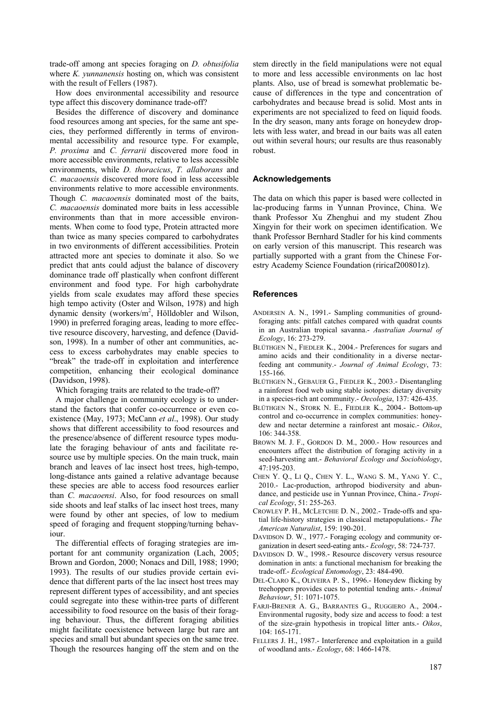trade-off among ant species foraging on *D. obtusifolia* where *K. yunnanensis* hosting on, which was consistent with the result of Fellers (1987).

How does environmental accessibility and resource type affect this discovery dominance trade-off?

Besides the difference of discovery and dominance food resources among ant species, for the same ant species, they performed differently in terms of environmental accessibility and resource type. For example, *P. proxima* and *C. ferrarii* discovered more food in more accessible environments, relative to less accessible environments, while *D. thoracicus*, *T. allaborans* and *C. macaoensis* discovered more food in less accessible environments relative to more accessible environments. Though *C. macaoensis* dominated most of the baits, *C. macaoensis* dominated more baits in less accessible environments than that in more accessible environments. When come to food type, Protein attracted more than twice as many species compared to carbohydrates in two environments of different accessibilities. Protein attracted more ant species to dominate it also. So we predict that ants could adjust the balance of discovery dominance trade off plastically when confront different environment and food type. For high carbohydrate yields from scale exudates may afford these species high tempo activity (Oster and Wilson, 1978) and high dynamic density (workers/m<sup>2</sup>, Hölldobler and Wilson, 1990) in preferred foraging areas, leading to more effective resource discovery, harvesting, and defence (Davidson, 1998). In a number of other ant communities, access to excess carbohydrates may enable species to "break" the trade-off in exploitation and interference competition, enhancing their ecological dominance (Davidson, 1998).

Which foraging traits are related to the trade-off?

A major challenge in community ecology is to understand the factors that confer co-occurrence or even coexistence (May, 1973; McCann *et al*., 1998). Our study shows that different accessibility to food resources and the presence/absence of different resource types modulate the foraging behaviour of ants and facilitate resource use by multiple species. On the main truck, main branch and leaves of lac insect host trees, high-tempo, long-distance ants gained a relative advantage because these species are able to access food resources earlier than *C. macaoensi*. Also, for food resources on small side shoots and leaf stalks of lac insect host trees, many were found by other ant species, of low to medium speed of foraging and frequent stopping/turning behaviour.

The differential effects of foraging strategies are important for ant community organization (Lach, 2005; Brown and Gordon, 2000; Nonacs and Dill, 1988; 1990; 1993). The results of our studies provide certain evidence that different parts of the lac insect host trees may represent different types of accessibility, and ant species could segregate into these within-tree parts of different accessibility to food resource on the basis of their foraging behaviour. Thus, the different foraging abilities might facilitate coexistence between large but rare ant species and small but abundant species on the same tree. Though the resources hanging off the stem and on the

stem directly in the field manipulations were not equal to more and less accessible environments on lac host plants. Also, use of bread is somewhat problematic because of differences in the type and concentration of carbohydrates and because bread is solid. Most ants in experiments are not specialized to feed on liquid foods. In the dry season, many ants forage on honeydew droplets with less water, and bread in our baits was all eaten out within several hours; our results are thus reasonably robust.

## **Acknowledgements**

The data on which this paper is based were collected in lac-producing farms in Yunnan Province, China. We thank Professor Xu Zhenghui and my student Zhou Xingyin for their work on specimen identification. We thank Professor Bernhard Stadler for his kind comments on early version of this manuscript. This research was partially supported with a grant from the Chinese Forestry Academy Science Foundation (riricaf200801z).

#### **References**

- ANDERSEN A. N., 1991.- Sampling communities of groundforaging ants: pitfall catches compared with quadrat counts in an Australian tropical savanna.- *Australian Journal of Ecology*, 16: 273-279.
- BLÜTHGEN N., FIEDLER K., 2004.- Preferences for sugars and amino acids and their conditionality in a diverse nectarfeeding ant community.- *Journal of Animal Ecology*, 73: 155-166.
- BLÜTHGEN N., GEBAUER G., FIEDLER K., 2003.- Disentangling a rainforest food web using stable isotopes: dietary diversity in a species-rich ant community.- *Oecologia*, 137: 426-435.
- BLÜTHGEN N., STORK N. E., FIEDLER K., 2004.- Bottom-up control and co-occurrence in complex communities: honeydew and nectar determine a rainforest ant mosaic.- *Oikos*, 106: 344-358.
- BROWN M. J. F., GORDON D. M., 2000.- How resources and encounters affect the distribution of foraging activity in a seed-harvesting ant.- *Behavioral Ecology and Sociobiology*, 47:195-203.
- CHEN Y. Q., LI Q., CHEN Y. L., WANG S. M., YANG Y. C., 2010.- Lac-production, arthropod biodiversity and abundance, and pesticide use in Yunnan Province, China.- *Tropical Ecology*, 51: 255-263.
- CROWLEY P. H., MCLETCHIE D. N., 2002.- Trade-offs and spatial life-history strategies in classical metapopulations.- *The American Naturalist*, 159: 190-201.
- DAVIDSON D. W., 1977.- Foraging ecology and community organization in desert seed-eating ants.- *Ecology*, 58: 724-737.
- DAVIDSON D. W., 1998.- Resource discovery versus resource domination in ants: a functional mechanism for breaking the trade-off.- *Ecological Entomology*, 23: 484-490.
- DEL-CLARO K., OLIVEIRA P. S., 1996.- Honeydew flicking by treehoppers provides cues to potential tending ants.- *Animal Behaviour*, 51: 1071-1075.
- FARJI-BRENER A. G., BARRANTES G., RUGGIERO A., 2004.- Environmental rugosity, body size and access to food: a test of the size-grain hypothesis in tropical litter ants.- *Oikos*, 104: 165-171.
- FELLERS J. H., 1987.- Interference and exploitation in a guild of woodland ants.- *Ecology*, 68: 1466-1478.